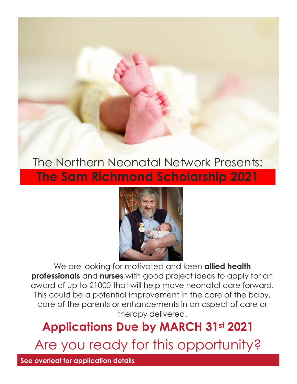# The Northern Neonatal Network Presents: **The Sam Richmond Scholarship 2021**



We are looking for motivated and keen **allied health professionals** and **nurses** with good project ideas to apply for an award of up to £1000 that will help move neonatal care forward. This could be a potential improvement in the care of the baby, care of the parents or enhancements in an aspect of care or therapy delivered.

# **Applications Due by MARCH 31st 2021**

Are you ready for this opportunity?

**See overleaf for application details**